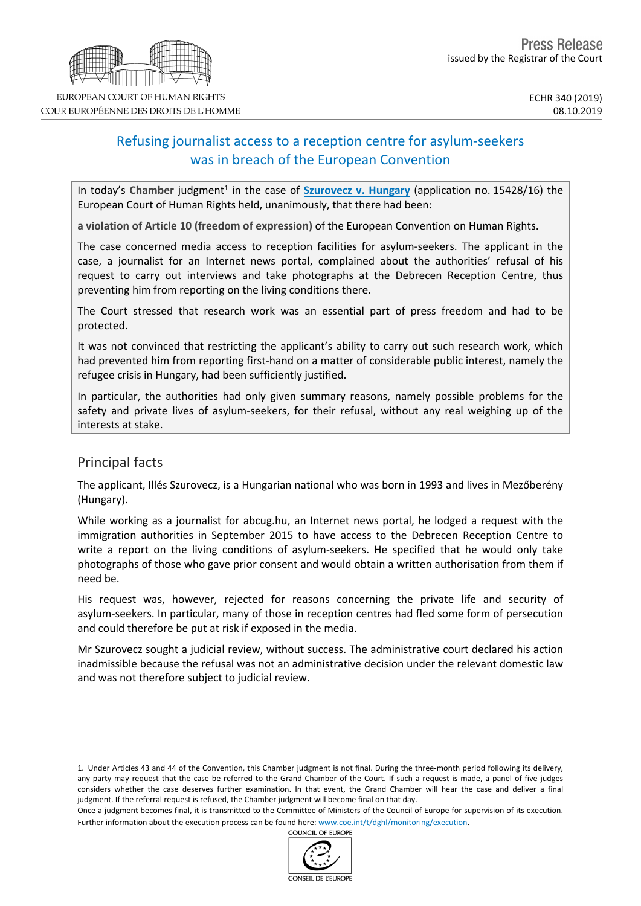# Refusing journalist access to a reception centre for asylum-seekers was in breach of the European Convention

In today's Chamber judgment<sup>1</sup> in the case of **[Szurovecz](http://hudoc.echr.coe.int/fre?i=001-196418) v. Hungary** (application no. 15428/16) the European Court of Human Rights held, unanimously, that there had been:

**a violation of Article 10 (freedom of expression)** of the European Convention on Human Rights.

The case concerned media access to reception facilities for asylum-seekers. The applicant in the case, a journalist for an Internet news portal, complained about the authorities' refusal of his request to carry out interviews and take photographs at the Debrecen Reception Centre, thus preventing him from reporting on the living conditions there.

The Court stressed that research work was an essential part of press freedom and had to be protected.

It was not convinced that restricting the applicant's ability to carry out such research work, which had prevented him from reporting first-hand on a matter of considerable public interest, namely the refugee crisis in Hungary, had been sufficiently justified.

In particular, the authorities had only given summary reasons, namely possible problems for the safety and private lives of asylum-seekers, for their refusal, without any real weighing up of the interests at stake.

### Principal facts

The applicant, Illés Szurovecz, is a Hungarian national who was born in 1993 and lives in Mezőberény (Hungary).

While working as a journalist for abcug.hu, an Internet news portal, he lodged a request with the immigration authorities in September 2015 to have access to the Debrecen Reception Centre to write a report on the living conditions of asylum-seekers. He specified that he would only take photographs of those who gave prior consent and would obtain a written authorisation from them if need be.

His request was, however, rejected for reasons concerning the private life and security of asylum-seekers. In particular, many of those in reception centres had fled some form of persecution and could therefore be put at risk if exposed in the media.

Mr Szurovecz sought a judicial review, without success. The administrative court declared his action inadmissible because the refusal was not an administrative decision under the relevant domestic law and was not therefore subject to judicial review.

1. Under Articles 43 and 44 of the Convention, this Chamber judgment is not final. During the three-month period following its delivery, any party may request that the case be referred to the Grand Chamber of the Court. If such a request is made, a panel of five judges considers whether the case deserves further examination. In that event, the Grand Chamber will hear the case and deliver a final judgment. If the referral request is refused, the Chamber judgment will become final on that day.

Once a judgment becomes final, it is transmitted to the Committee of Ministers of the Council of Europe for supervision of its execution. Further information about the execution process can be found here: [www.coe.int/t/dghl/monitoring/execution](http://www.coe.int/t/dghl/monitoring/execution).<br>COUNCIL OF FUROPE



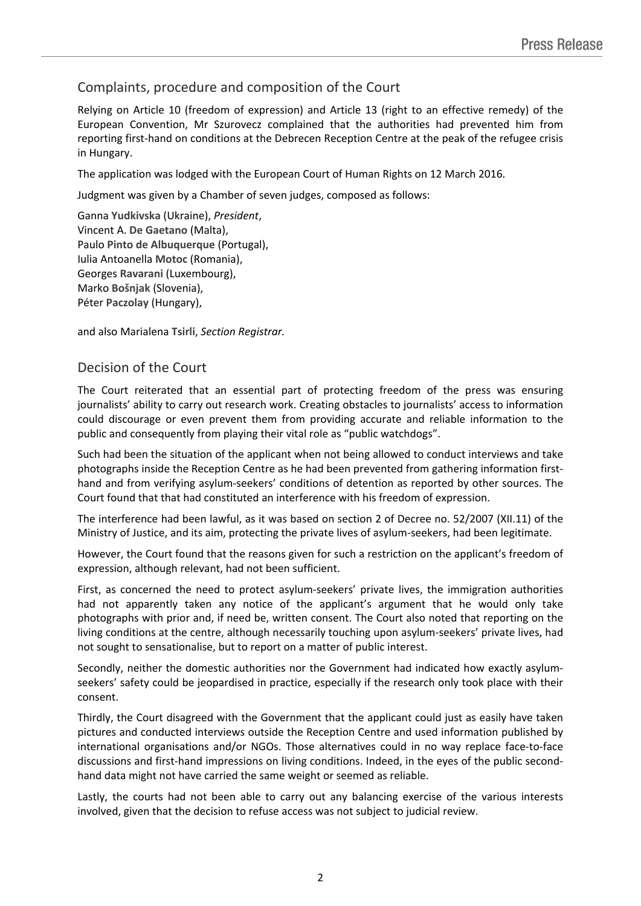# Complaints, procedure and composition of the Court

Relying on Article 10 (freedom of expression) and Article 13 (right to an effective remedy) of the European Convention, Mr Szurovecz complained that the authorities had prevented him from reporting first-hand on conditions at the Debrecen Reception Centre at the peak of the refugee crisis in Hungary.

The application was lodged with the European Court of Human Rights on 12 March 2016.

Judgment was given by a Chamber of seven judges, composed as follows:

Ganna **Yudkivska** (Ukraine), *President*, Vincent A. **De Gaetano** (Malta), Paulo **Pinto de Albuquerque** (Portugal), Iulia Antoanella **Motoc** (Romania), Georges **Ravarani** (Luxembourg), Marko **Bošnjak** (Slovenia), Péter **Paczolay** (Hungary),

and also Marialena **Tsirli**, *Section Registrar.*

#### Decision of the Court

The Court reiterated that an essential part of protecting freedom of the press was ensuring journalists' ability to carry out research work. Creating obstacles to journalists' access to information could discourage or even prevent them from providing accurate and reliable information to the public and consequently from playing their vital role as "public watchdogs".

Such had been the situation of the applicant when not being allowed to conduct interviews and take photographs inside the Reception Centre as he had been prevented from gathering information firsthand and from verifying asylum-seekers' conditions of detention as reported by other sources. The Court found that that had constituted an interference with his freedom of expression.

The interference had been lawful, as it was based on section 2 of Decree no. 52/2007 (XII.11) of the Ministry of Justice, and its aim, protecting the private lives of asylum-seekers, had been legitimate.

However, the Court found that the reasons given for such a restriction on the applicant's freedom of expression, although relevant, had not been sufficient.

First, as concerned the need to protect asylum-seekers' private lives, the immigration authorities had not apparently taken any notice of the applicant's argument that he would only take photographs with prior and, if need be, written consent. The Court also noted that reporting on the living conditions at the centre, although necessarily touching upon asylum-seekers' private lives, had not sought to sensationalise, but to report on a matter of public interest.

Secondly, neither the domestic authorities nor the Government had indicated how exactly asylumseekers' safety could be jeopardised in practice, especially if the research only took place with their consent.

Thirdly, the Court disagreed with the Government that the applicant could just as easily have taken pictures and conducted interviews outside the Reception Centre and used information published by international organisations and/or NGOs. Those alternatives could in no way replace face-to-face discussions and first-hand impressions on living conditions. Indeed, in the eyes of the public secondhand data might not have carried the same weight or seemed as reliable.

Lastly, the courts had not been able to carry out any balancing exercise of the various interests involved, given that the decision to refuse access was not subject to judicial review.